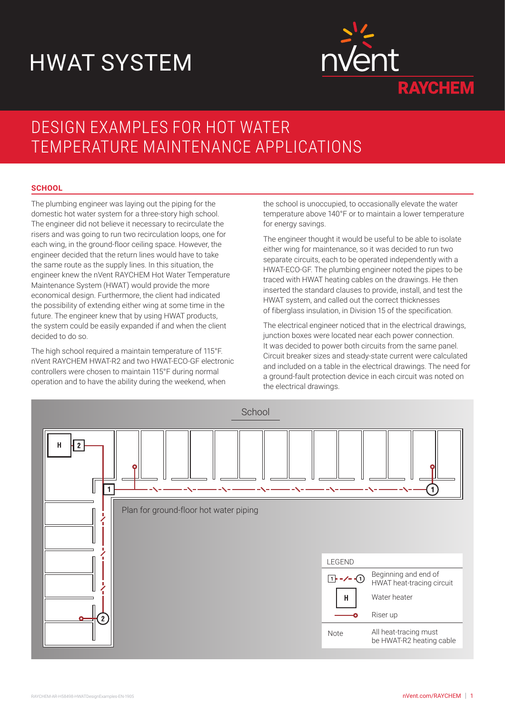# HWAT SYSTEM



## DESIGN EXAMPLES FOR HOT WATER TEMPERATURE MAINTENANCE APPLICATIONS

### **SCHOOL**

The plumbing engineer was laying out the piping for the domestic hot water system for a three-story high school. The engineer did not believe it necessary to recirculate the risers and was going to run two recirculation loops, one for each wing, in the ground-floor ceiling space. However, the engineer decided that the return lines would have to take the same route as the supply lines. In this situation, the engineer knew the nVent RAYCHEM Hot Water Temperature Maintenance System (HWAT) would provide the more economical design. Furthermore, the client had indicated the possibility of extending either wing at some time in the future. The engineer knew that by using HWAT products, the system could be easily expanded if and when the client decided to do so.

The high school required a maintain temperature of 115°F. nVent RAYCHEM HWAT-R2 and two HWAT-ECO-GF electronic controllers were chosen to maintain 115°F during normal operation and to have the ability during the weekend, when

the school is unoccupied, to occasionally elevate the water temperature above 140°F or to maintain a lower temperature for energy savings.

The engineer thought it would be useful to be able to isolate either wing for maintenance, so it was decided to run two separate circuits, each to be operated independently with a HWAT-ECO-GF. The plumbing engineer noted the pipes to be traced with HWAT heating cables on the drawings. He then inserted the standard clauses to provide, install, and test the HWAT system, and called out the correct thicknesses of fiberglass insulation, in Division 15 of the specification.

The electrical engineer noticed that in the electrical drawings, junction boxes were located near each power connection. It was decided to power both circuits from the same panel. Circuit breaker sizes and steady-state current were calculated and included on a table in the electrical drawings. The need for a ground-fault protection device in each circuit was noted on the electrical drawings.

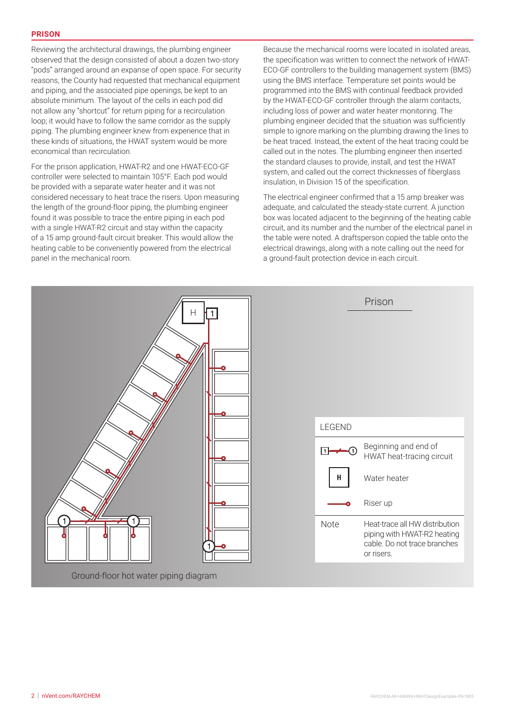Reviewing the architectural drawings, the plumbing engineer observed that the design consisted of about a dozen two-story "pods" arranged around an expanse of open space. For security reasons, the County had requested that mechanical equipment and piping, and the associated pipe openings, be kept to an absolute minimum. The layout of the cells in each pod did not allow any "shortcut" for return piping for a recirculation loop; it would have to follow the same corridor as the supply piping. The plumbing engineer knew from experience that in these kinds of situations, the HWAT system would be more economical than recirculation.

For the prison application, HWAT-R2 and one HWAT-ECO-GF controller were selected to maintain 105°F. Each pod would be provided with a separate water heater and it was not considered necessary to heat trace the risers. Upon measuring the length of the ground-floor piping, the plumbing engineer found it was possible to trace the entire piping in each pod with a single HWAT-R2 circuit and stay within the capacity of a 15 amp ground-fault circuit breaker. This would allow the heating cable to be conveniently powered from the electrical panel in the mechanical room.

Because the mechanical rooms were located in isolated areas, the specification was written to connect the network of HWAT-ECO-GF controllers to the building management system (BMS) using the BMS interface. Temperature set points would be programmed into the BMS with continual feedback provided by the HWAT-ECO-GF controller through the alarm contacts, including loss of power and water heater monitoring. The plumbing engineer decided that the situation was sufficiently simple to ignore marking on the plumbing drawing the lines to be heat traced. Instead, the extent of the heat tracing could be called out in the notes. The plumbing engineer then inserted the standard clauses to provide, install, and test the HWAT system, and called out the correct thicknesses of fiberglass insulation, in Division 15 of the specification.

The electrical engineer confirmed that a 15 amp breaker was adequate, and calculated the steady-state current. A junction box was located adjacent to the beginning of the heating cable circuit, and its number and the number of the electrical panel in the table were noted. A draftsperson copied the table onto the electrical drawings, along with a note calling out the need for a ground-fault protection device in each circuit.

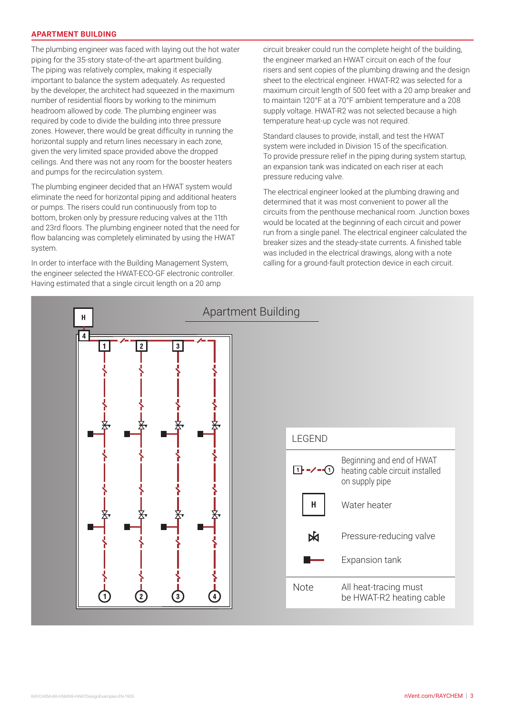#### **APARTMENT BUILDING**

The plumbing engineer was faced with laying out the hot water piping for the 35-story state-of-the-art apartment building. The piping was relatively complex, making it especially important to balance the system adequately. As requested by the developer, the architect had squeezed in the maximum number of residential floors by working to the minimum headroom allowed by code. The plumbing engineer was required by code to divide the building into three pressure zones. However, there would be great difficulty in running the horizontal supply and return lines necessary in each zone, given the very limited space provided above the dropped ceilings. And there was not any room for the booster heaters and pumps for the recirculation system.

The plumbing engineer decided that an HWAT system would eliminate the need for horizontal piping and additional heaters or pumps. The risers could run continuously from top to bottom, broken only by pressure reducing valves at the 11th and 23rd floors. The plumbing engineer noted that the need for flow balancing was completely eliminated by using the HWAT system.

In order to interface with the Building Management System, the engineer selected the HWAT-ECO-GF electronic controller. Having estimated that a single circuit length on a 20 amp

circuit breaker could run the complete height of the building, the engineer marked an HWAT circuit on each of the four risers and sent copies of the plumbing drawing and the design sheet to the electrical engineer. HWAT-R2 was selected for a maximum circuit length of 500 feet with a 20 amp breaker and to maintain 120°F at a 70°F ambient temperature and a 208 supply voltage. HWAT-R2 was not selected because a high temperature heat-up cycle was not required.

Standard clauses to provide, install, and test the HWAT system were included in Division 15 of the specification. To provide pressure relief in the piping during system startup, an expansion tank was indicated on each riser at each pressure reducing valve.

The electrical engineer looked at the plumbing drawing and determined that it was most convenient to power all the circuits from the penthouse mechanical room. Junction boxes would be located at the beginning of each circuit and power run from a single panel. The electrical engineer calculated the breaker sizes and the steady-state currents. A finished table was included in the electrical drawings, along with a note calling for a ground-fault protection device in each circuit.